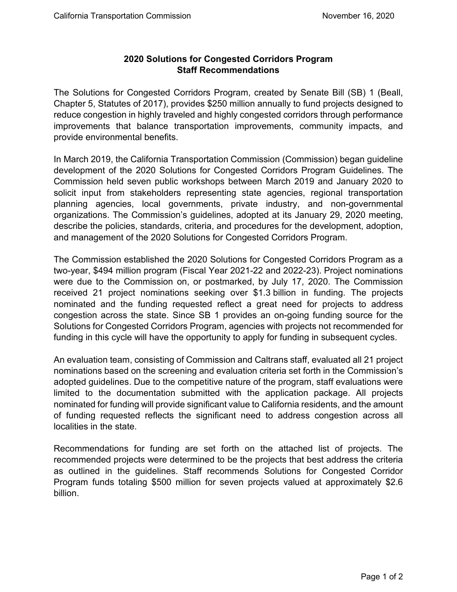## **2020 Solutions for Congested Corridors Program Staff Recommendations**

 The Solutions for Congested Corridors Program, created by Senate Bill (SB) 1 (Beall, Chapter 5, Statutes of 2017), provides \$250 million annually to fund projects designed to provide environmental benefits. reduce congestion in highly traveled and highly congested corridors through performance improvements that balance transportation improvements, community impacts, and

 development of the 2020 Solutions for Congested Corridors Program Guidelines. The Commission held seven public workshops between March 2019 and January 2020 to In March 2019, the California Transportation Commission (Commission) began guideline solicit input from stakeholders representing state agencies, regional transportation planning agencies, local governments, private industry, and non-governmental organizations. The Commission's guidelines, adopted at its January 29, 2020 meeting, describe the policies, standards, criteria, and procedures for the development, adoption, and management of the 2020 Solutions for Congested Corridors Program.

 two-year, \$494 million program (Fiscal Year 2021-22 and 2022-23). Project nominations were due to the Commission on, or postmarked, by July 17, 2020. The Commission congestion across the state. Since SB 1 provides an on-going funding source for the The Commission established the 2020 Solutions for Congested Corridors Program as a received 21 project nominations seeking over \$1.3 billion in funding. The projects nominated and the funding requested reflect a great need for projects to address Solutions for Congested Corridors Program, agencies with projects not recommended for funding in this cycle will have the opportunity to apply for funding in subsequent cycles.

 An evaluation team, consisting of Commission and Caltrans staff, evaluated all 21 project of funding requested reflects the significant need to address congestion across all nominations based on the screening and evaluation criteria set forth in the Commission's adopted guidelines. Due to the competitive nature of the program, staff evaluations were limited to the documentation submitted with the application package. All projects nominated for funding will provide significant value to California residents, and the amount localities in the state.

 Recommendations for funding are set forth on the attached list of projects. The recommended projects were determined to be the projects that best address the criteria Program funds totaling \$500 million for seven projects valued at approximately \$2.6 as outlined in the guidelines. Staff recommends Solutions for Congested Corridor billion.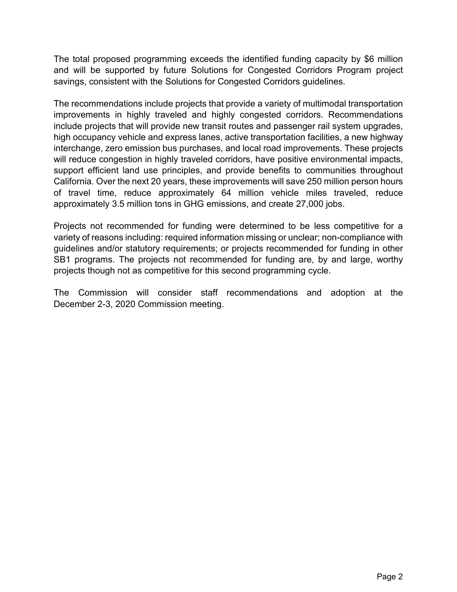The total proposed programming exceeds the identified funding capacity by \$6 million savings, consistent with the Solutions for Congested Corridors guidelines. and will be supported by future Solutions for Congested Corridors Program project

 support efficient land use principles, and provide benefits to communities throughout The recommendations include projects that provide a variety of multimodal transportation improvements in highly traveled and highly congested corridors. Recommendations include projects that will provide new transit routes and passenger rail system upgrades, high occupancy vehicle and express lanes, active transportation facilities, a new highway interchange, zero emission bus purchases, and local road improvements. These projects will reduce congestion in highly traveled corridors, have positive environmental impacts, California. Over the next 20 years, these improvements will save 250 million person hours of travel time, reduce approximately 64 million vehicle miles traveled, reduce approximately 3.5 million tons in GHG emissions, and create 27,000 jobs.

 Projects not recommended for funding were determined to be less competitive for a projects though not as competitive for this second programming cycle. variety of reasons including: required information missing or unclear; non-compliance with guidelines and/or statutory requirements; or projects recommended for funding in other SB1 programs. The projects not recommended for funding are, by and large, worthy

 December 2-3, 2020 Commission meeting. The Commission will consider staff recommendations and adoption at the